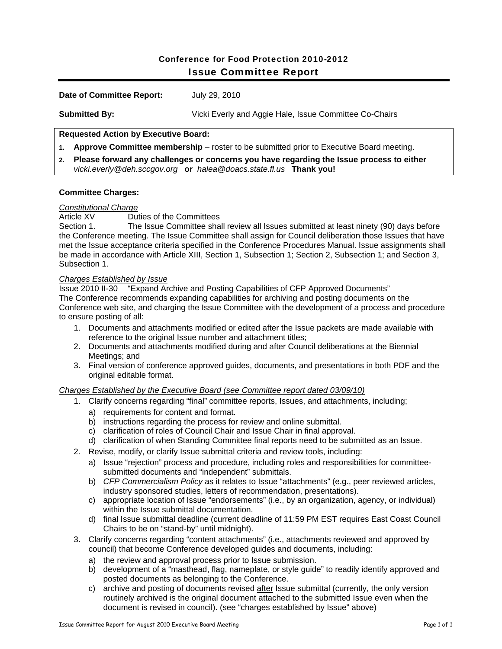# Conference for Food Protection 2010-2012 Issue Committee Report

| <b>Date of Committee Report:</b> | July 29, 2010 |
|----------------------------------|---------------|
|                                  |               |

**Submitted By:** Vicki Everly and Aggie Hale, Issue Committee Co-Chairs

# **Requested Action by Executive Board:**

- **1. Approve Committee membership**  roster to be submitted prior to Executive Board meeting.
- **2. Please forward any challenges or concerns you have regarding the Issue process to either**  *vicki.everly@deh.sccgov.org* **or** *halea@doacs.state.fl.us* **Thank you!**

### **Committee Charges:**

### *Constitutional Charge*

Article XV Duties of the Committees

Section 1. The Issue Committee shall review all Issues submitted at least ninety (90) days before the Conference meeting. The Issue Committee shall assign for Council deliberation those Issues that have met the Issue acceptance criteria specified in the Conference Procedures Manual. Issue assignments shall be made in accordance with Article XIII, Section 1, Subsection 1; Section 2, Subsection 1; and Section 3, Subsection 1.

### *Charges Established by Issue*

Issue 2010 II-30 "Expand Archive and Posting Capabilities of CFP Approved Documents" The Conference recommends expanding capabilities for archiving and posting documents on the Conference web site, and charging the Issue Committee with the development of a process and procedure to ensure posting of all:

- 1. Documents and attachments modified or edited after the Issue packets are made available with reference to the original Issue number and attachment titles;
- 2. Documents and attachments modified during and after Council deliberations at the Biennial Meetings; and
- 3. Final version of conference approved guides, documents, and presentations in both PDF and the original editable format.

### *Charges Established by the Executive Board (see Committee report dated 03/09/10)*

- 1. Clarify concerns regarding "final" committee reports, Issues, and attachments, including;
	- a) requirements for content and format.
	- b) instructions regarding the process for review and online submittal.
	- c) clarification of roles of Council Chair and Issue Chair in final approval.
	- d) clarification of when Standing Committee final reports need to be submitted as an Issue.
- 2. Revise, modify, or clarify Issue submittal criteria and review tools, including:
	- a) Issue "rejection" process and procedure, including roles and responsibilities for committeesubmitted documents and "independent" submittals.
	- b) *CFP Commercialism Policy* as it relates to Issue "attachments" (e.g., peer reviewed articles, industry sponsored studies, letters of recommendation, presentations).
	- c) appropriate location of Issue "endorsements" (i.e., by an organization, agency, or individual) within the Issue submittal documentation.
	- d) final Issue submittal deadline (current deadline of 11:59 PM EST requires East Coast Council Chairs to be on "stand-by" until midnight).
- 3. Clarify concerns regarding "content attachments" (i.e., attachments reviewed and approved by council) that become Conference developed guides and documents, including:
	- a) the review and approval process prior to Issue submission.
	- b) development of a "masthead, flag, nameplate, or style guide" to readily identify approved and posted documents as belonging to the Conference.
	- c) archive and posting of documents revised after Issue submittal (currently, the only version routinely archived is the original document attached to the submitted Issue even when the document is revised in council). (see "charges established by Issue" above)